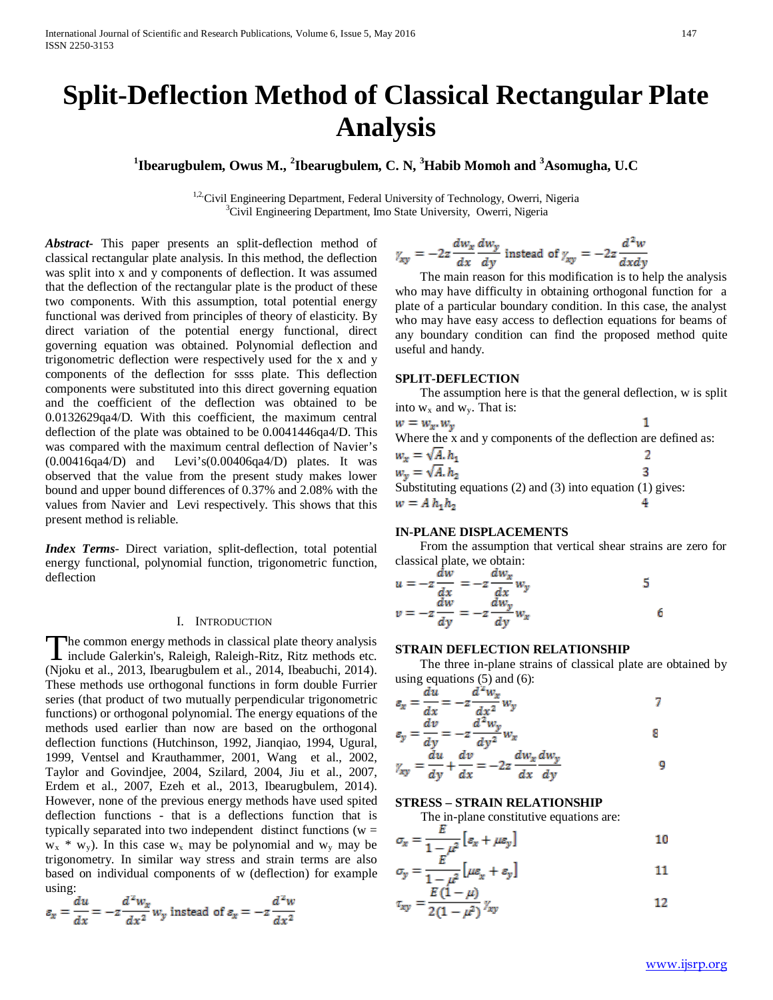# **Split-Deflection Method of Classical Rectangular Plate Analysis**

**1 Ibearugbulem, Owus M., <sup>2</sup> Ibearugbulem, C. N, <sup>3</sup> Habib Momoh and <sup>3</sup> Asomugha, U.C**

<sup>1,2,</sup>Civil Engineering Department, Federal University of Technology, Owerri, Nigeria <sup>3</sup>Civil Engineering Department, Imo State University, Owerri, Nigeria

*Abstract***-** This paper presents an split-deflection method of classical rectangular plate analysis. In this method, the deflection was split into x and y components of deflection. It was assumed that the deflection of the rectangular plate is the product of these two components. With this assumption, total potential energy functional was derived from principles of theory of elasticity. By direct variation of the potential energy functional, direct governing equation was obtained. Polynomial deflection and trigonometric deflection were respectively used for the x and y components of the deflection for ssss plate. This deflection components were substituted into this direct governing equation and the coefficient of the deflection was obtained to be 0.0132629qa4/D. With this coefficient, the maximum central deflection of the plate was obtained to be 0.0041446qa4/D. This was compared with the maximum central deflection of Navier's  $(0.00416qa4/D)$  and Levi's $(0.00406qa4/D)$  plates. It was observed that the value from the present study makes lower bound and upper bound differences of 0.37% and 2.08% with the values from Navier and Levi respectively. This shows that this present method is reliable.

*Index Terms*- Direct variation, split-deflection, total potential energy functional, polynomial function, trigonometric function, deflection

#### I. INTRODUCTION

he common energy methods in classical plate theory analysis The common energy methods in classical plate theory analysis<br>include Galerkin's, Raleigh, Raleigh-Ritz, Ritz methods etc. (Njoku et al., 2013, Ibearugbulem et al., 2014, Ibeabuchi, 2014). These methods use orthogonal functions in form double Furrier series (that product of two mutually perpendicular trigonometric functions) or orthogonal polynomial. The energy equations of the methods used earlier than now are based on the orthogonal deflection functions (Hutchinson, 1992, Jianqiao, 1994, Ugural, 1999, Ventsel and Krauthammer, 2001, Wang et al., 2002, Taylor and Govindjee, 2004, Szilard, 2004, Jiu et al., 2007, Erdem et al., 2007, Ezeh et al., 2013, Ibearugbulem, 2014). However, none of the previous energy methods have used spited deflection functions - that is a deflections function that is typically separated into two independent distinct functions ( $w =$  $w_x * w_y$ ). In this case  $w_x$  may be polynomial and  $w_y$  may be trigonometry. In similar way stress and strain terms are also based on individual components of w (deflection) for example using:

$$
\varepsilon_x = \frac{du}{dx} = -z \frac{d^2 w_x}{dx^2} w_y
$$
 instead of  $\varepsilon_x = -z \frac{d^2 w_x}{dx^2}$ 

$$
y_{xy} = -2z \frac{dw_x}{dx} \frac{dw_y}{dy}
$$
 instead of  $y_{xy} = -2z \frac{d^2w}{dx dy}$ 

 The main reason for this modification is to help the analysis who may have difficulty in obtaining orthogonal function for a plate of a particular boundary condition. In this case, the analyst who may have easy access to deflection equations for beams of any boundary condition can find the proposed method quite useful and handy.

## **SPLIT-DEFLECTION**

 The assumption here is that the general deflection, w is split into  $w_x$  and  $w_y$ . That is:

| $w = w_x w_y$                                                     |  |  |
|-------------------------------------------------------------------|--|--|
| Where the x and y components of the deflection are defined as:    |  |  |
| $w_x = \sqrt{A} h_1$                                              |  |  |
| $w_v = \sqrt{A} \cdot h_2$                                        |  |  |
| Substituting equations $(2)$ and $(3)$ into equation $(1)$ gives: |  |  |
| $w = A h_1 h_2$                                                   |  |  |

## **IN-PLANE DISPLACEMENTS**

 From the assumption that vertical shear strains are zero for classical plate, we obtain:

$$
u = -z \frac{dw}{dx} = -z \frac{dw_x}{dx} w_y
$$
  
\n
$$
w = -z \frac{dw}{dy} = -z \frac{dw_y}{dy} w_x
$$
  
\n
$$
6
$$

## **STRAIN DEFLECTION RELATIONSHIP**

 The three in-plane strains of classical plate are obtained by using equations  $(5)$  and  $(6)$ :

$$
z_x = \frac{du}{dx} = -z \frac{d^2 w_x}{dx^2} w_y
$$

$$
\varepsilon_y = \frac{av}{dy} = -z \frac{a^{-1}w_y}{dy^2} w_x
$$

$$
y_{xy} = \frac{du}{dy} + \frac{dv}{dx} = -2z \frac{dw_x dw_y}{dx dy}
$$

## **STRESS – STRAIN RELATIONSHIP**

The in-plane constitutive equations are:

$$
\sigma_x = \frac{E}{1-\mu^2} \left[ z_x + \mu z_y \right] \tag{10}
$$

$$
\sigma_y = \frac{E}{1 - \mu^2} \left[ \mu z_x + z_y \right]
$$
 11

$$
\tau_{xy} = \frac{E(1-\mu)}{2(1-\mu^2)} \gamma_{xy}
$$

8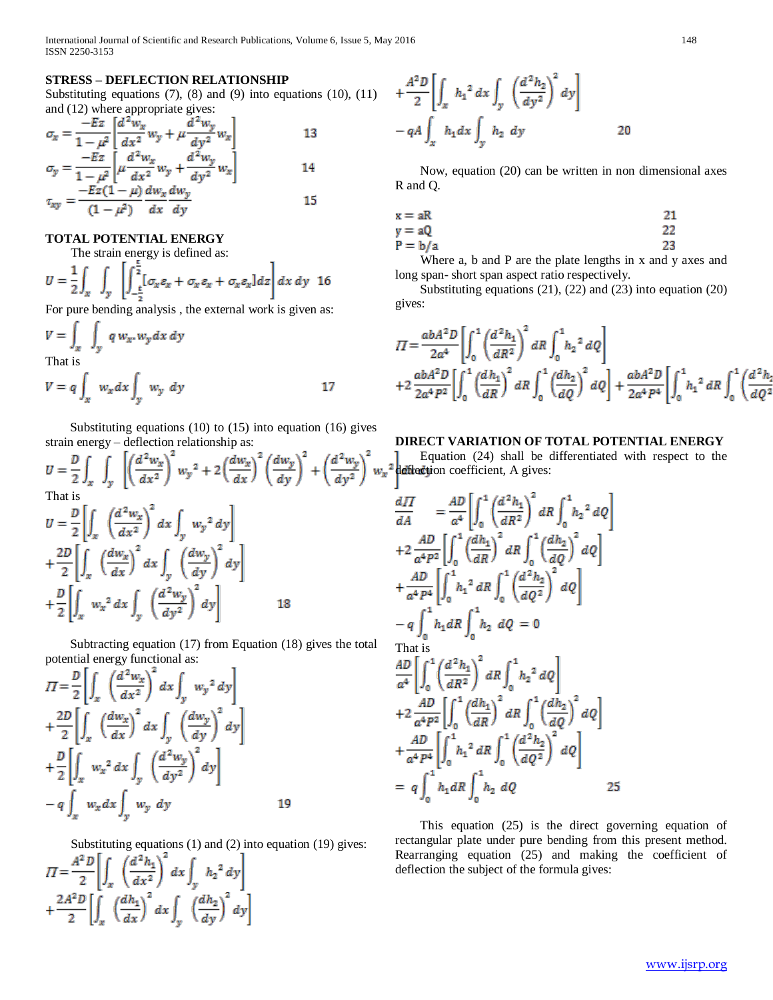# **STRESS – DEFLECTION RELATIONSHIP**

Substituting equations  $(7)$ ,  $(8)$  and  $(9)$  into equations  $(10)$ ,  $(11)$ and (12) where appropriate gives:

$$
\sigma_x = \frac{-Ez}{1 - \mu^2} \left[ \frac{d^2 w_x}{dx^2} w_y + \mu \frac{d^2 w_y}{dy^2} w_x \right]
$$
\n
$$
\sigma_y = \frac{-Ez}{1 - \mu^2} \left[ \mu \frac{d^2 w_x}{dx^2} w_y + \frac{d^2 w_y}{dy^2} w_x \right]
$$
\n
$$
\sigma_{xy} = \frac{-Ez(1 - \mu)}{(1 - \mu^2)} \frac{dw_x}{dx} \frac{dw_y}{dy}
$$
\n15

# **TOTAL POTENTIAL ENERGY**

The strain energy is defined as:

$$
U = \frac{1}{2} \int_{x} \int_{y} \left[ \int_{-\frac{\epsilon}{2}}^{\frac{\epsilon}{2}} [\sigma_x \varepsilon_x + \sigma_x \varepsilon_x + \sigma_x \varepsilon_x] dz \right] dx dy
$$
 16

For pure bending analysis , the external work is given as: ø.

$$
V = \int_{x} \int_{y} q w_x. w_y dx dy
$$
  
That is  

$$
V = q \int_{x} w_x dx \int_{y} w_y dy
$$
 17

 Substituting equations (10) to (15) into equation (16) gives strain energy – deflection relationship as:

$$
U = \frac{D}{2} \int_x \int_y \left[ \left( \frac{d^2 w_x}{dx^2} \right)^2 w_y^2 + 2 \left( \frac{dw_x}{dx} \right)^2 \left( \frac{dw_y}{dy} \right)^2 + \left( \frac{d^2 w_y}{dy^2} \right)^2 v
$$
  
\nThat is  
\n
$$
U = \frac{D}{2} \left[ \int_x \left( \frac{d^2 w_x}{dx^2} \right)^2 dx \int_y w_y^2 dy \right]
$$
\n
$$
+ \frac{2D}{2} \left[ \int_x \left( \frac{dw_x}{dx} \right)^2 dx \int_y \left( \frac{dw_y}{dy} \right)^2 dy \right]
$$
\n
$$
+ \frac{D}{2} \left[ \int_x w_x^2 dx \int_y \left( \frac{d^2 w_y}{dy^2} \right)^2 dy \right]
$$
\n18

 Subtracting equation (17) from Equation (18) gives the total potential energy functional as:

$$
II = \frac{D}{2} \left[ \int_x \left( \frac{d^2 w_x}{dx^2} \right)^2 dx \int_y w_y^2 dy \right] + \frac{2D}{2} \left[ \int_x \left( \frac{dw_x}{dx} \right)^2 dx \int_y \left( \frac{dw_y}{dy} \right)^2 dy \right] + \frac{D}{2} \left[ \int_x w_x^2 dx \int_y \left( \frac{d^2 w_y}{dy^2} \right)^2 dy \right] - q \int_x w_x dx \int_y w_y dy
$$
 19

Substituting equations (1) and (2) into equation (19) gives:

$$
II = \frac{A^2 D}{2} \left[ \int_x \left( \frac{d^2 h_1}{dx^2} \right)^2 dx \int_y h_2^2 dy \right]
$$
  
+ 
$$
\frac{2A^2 D}{2} \left[ \int_x \left( \frac{dh_1}{dx} \right)^2 dx \int_y \left( \frac{dh_2}{dy} \right)^2 dy \right]
$$

$$
+\frac{A^{2}D}{2}\left[\int_{x} h_{1}^{2} dx \int_{y} \left(\frac{d^{2}h_{2}}{dy^{2}}\right)^{2} dy\right]
$$
  
- qA  $\int_{x} h_{1} dx \int_{y} h_{2} dy$  20

 Now, equation (20) can be written in non dimensional axes R and Q.

$$
x = aR
$$
  
y = aQ  
P = b/a  
23

 Where a, b and P are the plate lengths in x and y axes and long span- short span aspect ratio respectively.

 Substituting equations (21), (22) and (23) into equation (20) gives:

$$
II = \frac{abA^{2}D}{2a^{4}} \left[ \int_{0}^{1} \left( \frac{d^{2}h_{1}}{dR^{2}} \right)^{2} dR \int_{0}^{1} h_{2}^{2} dQ \right]
$$
  
+2\frac{abA^{2}D}{2a^{4}P^{2}} \left[ \int\_{0}^{1} \left( \frac{dh\_{1}}{dR} \right)^{2} dR \int\_{0}^{1} \left( \frac{dh\_{2}}{dQ} \right)^{2} dQ \right] + \frac{abA^{2}D}{2a^{4}P^{4}} \left[ \int\_{0}^{1} h\_{1}^{2} dR \int\_{0}^{1} \left( \frac{d^{2}h\_{1}}{dQ} \right)^{2} dR \right]

# **DIRECT VARIATION OF TOTAL POTENTIAL ENERGY**

 Equation (24) shall be differentiated with respect to the  $w_x^2$  deflection coefficient, A gives:

$$
\frac{dH}{dA} = \frac{AD}{a^4} \left[ \int_0^1 \left( \frac{d^2 h_1}{dR^2} \right)^2 dR \int_0^1 h_2^2 dQ \right]
$$
  
+2  $\frac{AD}{a^4 P^2} \left[ \int_0^1 \left( \frac{dh_1}{dR} \right)^2 dR \int_0^1 \left( \frac{dh_2}{dQ} \right)^2 dQ \right]$   
+ $\frac{AD}{a^4 P^4} \left[ \int_0^1 h_1^2 dR \int_0^1 \left( \frac{d^2 h_2}{dQ^2} \right)^2 dQ \right]$   
-q  $\int_0^1 h_1 dR \int_0^1 h_2 dQ = 0$   
That is  
 $\frac{AD}{a^4} \left[ \int_0^1 \left( \frac{d^2 h_1}{dR^2} \right)^2 dR \int_0^1 h_2^2 dQ \right]$   
+2  $\frac{AD}{a^4 P^2} \left[ \int_0^1 \left( \frac{dh_1}{dR} \right)^2 dR \int_0^1 h_2^2 dQ \right]$   
+2  $\frac{AD}{a^4 P^4} \left[ \int_0^1 h_1^2 dR \int_0^1 \left( \frac{dh_2}{dQ^2} \right)^2 dQ \right]$   
=  $q \int_0^1 h_1 dR \int_0^1 h_2 dQ$  25

 This equation (25) is the direct governing equation of rectangular plate under pure bending from this present method. Rearranging equation (25) and making the coefficient of deflection the subject of the formula gives: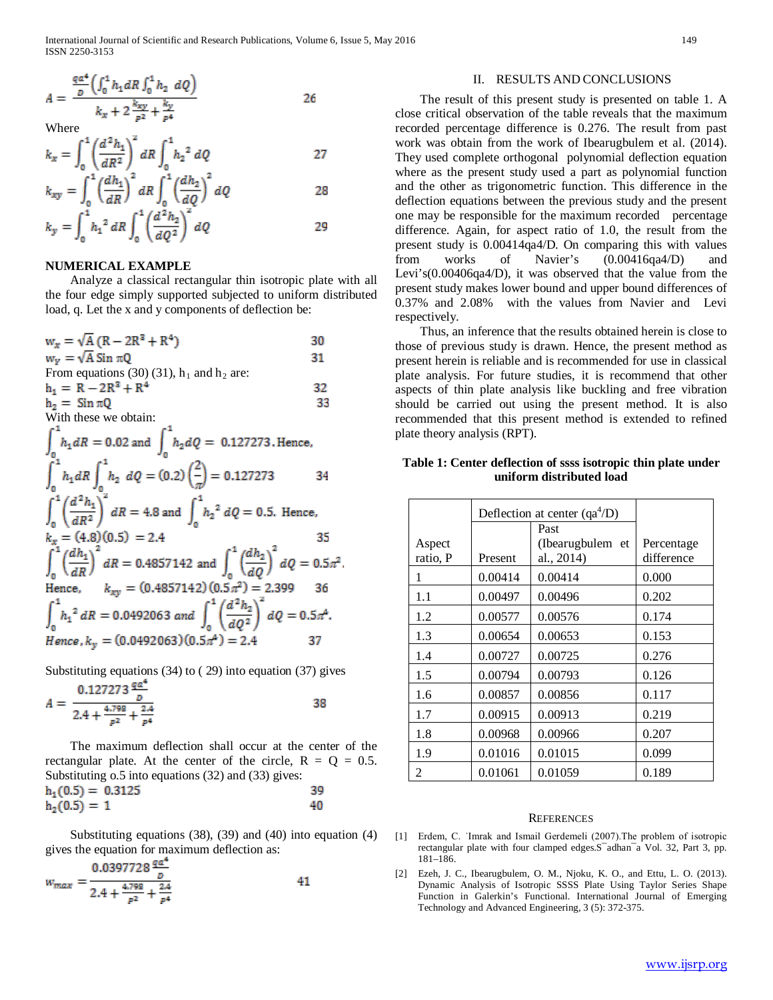$$
A = \frac{\frac{qa^4}{b} \left( \int_0^1 h_1 dR \int_0^1 h_2 \ dQ \right)}{k_x + 2 \frac{k_{xy}}{c^2} + \frac{k_y}{c^4}}
$$

Where

$$
k_x = \int_0^1 \left(\frac{d^2 h_1}{dR^2}\right)^2 dR \int_0^1 h_2^2 dQ \qquad \qquad 27
$$

$$
k_{xy} = \int_0^1 \left(\frac{dh_1}{dR}\right)^2 dR \int_0^1 \left(\frac{dh_2}{dQ}\right)^2 dQ
$$
  
\n
$$
k_y = \int_0^1 h_1^2 dR \int_0^1 \left(\frac{d^2h_2}{dQ^2}\right)^2 dQ
$$
 29

## **NUMERICAL EXAMPLE**

 Analyze a classical rectangular thin isotropic plate with all the four edge simply supported subjected to uniform distributed load, q. Let the x and y components of deflection be:

| $w_x = \sqrt{A} (R - 2R^2 + R^4)$                                                                                            | 30 |
|------------------------------------------------------------------------------------------------------------------------------|----|
|                                                                                                                              |    |
| $w_y = \sqrt{A}$ Sin $\pi Q$                                                                                                 | 31 |
| From equations (30) (31), $h_1$ and $h_2$ are:                                                                               |    |
| $h_1 = R - 2R^2 + R^4$                                                                                                       | 32 |
| $h_2 = \sin \pi Q$                                                                                                           | 33 |
| With these we obtain:                                                                                                        |    |
| $\int_{-}^{1} h_1 dR = 0.02$ and $\int_{0}^{1} h_2 dQ = 0.127273$ . Hence,                                                   |    |
| $\int_{0}^{1} h_1 dR \int_{0}^{1} h_2 dQ = (0.2) \left(\frac{2}{\pi}\right) = 0.127273$                                      | 34 |
| $\int_{0}^{1} \left(\frac{d^2 h_1}{dR^2}\right)^2 dR = 4.8$ and $\int_{0}^{1} h_2^2 dQ = 0.5$ . Hence,                       |    |
| $k_x = (4.8)(0.5) = 2.4$                                                                                                     | 35 |
| $\int_{0}^{1} \left(\frac{dh_1}{dR}\right)^2 dR = 0.4857142$ and $\int_{0}^{1} \left(\frac{dh_2}{dQ}\right)^2 dQ = 0.5\pi^2$ |    |
| Hence, $k_{xy} = (0.4857142)(0.5\pi^2) = 2.399$                                                                              |    |
| $\int_0^1 h_1^2 dR = 0.0492063 \text{ and } \int_n^1 \left(\frac{d^2 h_2}{dO^2}\right)^2 dQ = 0.5\pi^4.$                     |    |
| Hence, $k_v = (0.0492063)(0.5\pi^4) = 2.4$                                                                                   |    |

Substituting equations (34) to (29) into equation (37) gives

$$
A = \frac{0.127273 \frac{40}{b}}{2.4 + \frac{4.798}{p^2} + \frac{2.4}{p^4}}
$$

 The maximum deflection shall occur at the center of the rectangular plate. At the center of the circle,  $R = Q = 0.5$ . Substituting 0.5 into equations (32) and (33) gives:<br> $\mathbf{h}.\mathbf{G} \mathbf{S} = \mathbf{0}$  3125 20

$$
h_1(0.5) = 0.5125
$$
  
 
$$
h_2(0.5) = 1
$$

 Substituting equations (38), (39) and (40) into equation (4) gives the equation for maximum deflection as:

$$
w_{max} = \frac{0.0397728 \frac{4\alpha}{D}}{2.4 + \frac{4.798}{B^2} + \frac{2.4}{B^4}}
$$
 41

## II. RESULTS AND CONCLUSIONS

 The result of this present study is presented on table 1. A close critical observation of the table reveals that the maximum recorded percentage difference is 0.276. The result from past work was obtain from the work of Ibearugbulem et al. (2014). They used complete orthogonal polynomial deflection equation where as the present study used a part as polynomial function and the other as trigonometric function. This difference in the deflection equations between the previous study and the present one may be responsible for the maximum recorded percentage difference. Again, for aspect ratio of 1.0, the result from the present study is 0.00414qa4/D. On comparing this with values from works of Navier's (0.00416qa4/D) and Levi's(0.00406qa4/D), it was observed that the value from the present study makes lower bound and upper bound differences of 0.37% and 2.08% with the values from Navier and Levi respectively.

 Thus, an inference that the results obtained herein is close to those of previous study is drawn. Hence, the present method as present herein is reliable and is recommended for use in classical plate analysis. For future studies, it is recommend that other aspects of thin plate analysis like buckling and free vibration should be carried out using the present method. It is also recommended that this present method is extended to refined plate theory analysis (RPT).

# **Table 1: Center deflection of ssss isotropic thin plate under uniform distributed load**

|                    | Deflection at center $(qa^4/D)$ |                                        |                          |
|--------------------|---------------------------------|----------------------------------------|--------------------------|
| Aspect<br>ratio, P | Present                         | Past<br>(Ibearugbulem et<br>al., 2014) | Percentage<br>difference |
| 1                  | 0.00414                         | 0.00414                                | 0.000                    |
| 1.1                | 0.00497                         | 0.00496                                | 0.202                    |
| 1.2                | 0.00577                         | 0.00576                                | 0.174                    |
| 1.3                | 0.00654                         | 0.00653                                | 0.153                    |
| 1.4                | 0.00727                         | 0.00725                                | 0.276                    |
| 1.5                | 0.00794                         | 0.00793                                | 0.126                    |
| 1.6                | 0.00857                         | 0.00856                                | 0.117                    |
| 1.7                | 0.00915                         | 0.00913                                | 0.219                    |
| 1.8                | 0.00968                         | 0.00966                                | 0.207                    |
| 1.9                | 0.01016                         | 0.01015                                | 0.099                    |
| 2                  | 0.01061                         | 0.01059                                | 0.189                    |

#### **REFERENCES**

- [1] Erdem, C. ˙Imrak and Ismail Gerdemeli (2007).The problem of isotropic rectangular plate with four clamped edges.S¯adhan¯a Vol. 32, Part 3, pp. 181–186.
- [2] Ezeh, J. C., Ibearugbulem, O. M., Njoku, K. O., and Ettu, L. O. (2013). Dynamic Analysis of Isotropic SSSS Plate Using Taylor Series Shape Function in Galerkin's Functional. International Journal of Emerging Technology and Advanced Engineering, 3 (5): 372-375.